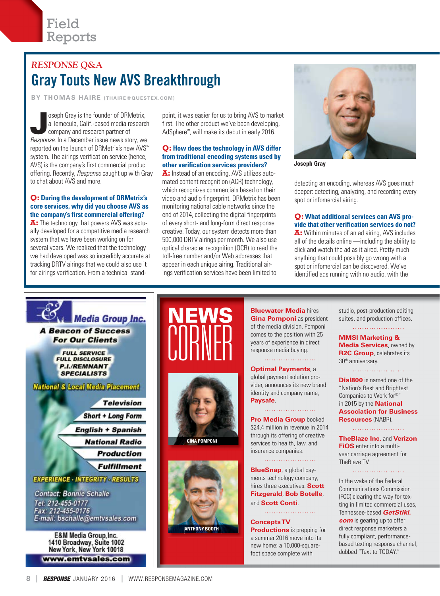## *RESPONSE* **Q&A** Gray Touts New AVS Breakthrough

**BY THOMAS HAIRE (THAIRE@QUESTEX.COM)**

Soseph Gray is the founder of DRMetrix,<br>a Temecula, Calif.-based media research<br>company and research partner of<br>Recenses In a December issue nows story we a Temecula, Calif.-based media research company and research partner of *Response*. In a December issue news story, we reported on the launch of DRMetrix's new AVS™ system. The airings verification service (hence, AVS) is the company's first commercial product offering. Recently, *Response* caught up with Gray to chat about AVS and more.

#### **Q: During the development of DRMetrix's core services, why did you choose AVS as the company's first commercial offering?**

**A:** The technology that powers AVS was actually developed for a competitive media research system that we have been working on for several years. We realized that the technology we had developed was so incredibly accurate at tracking DRTV airings that we could also use it for airings verification. From a technical stand-

point, it was easier for us to bring AVS to market first. The other product we've been developing, AdSphere™, will make its debut in early 2016.

#### **Q: How does the technology in AVS differ from traditional encoding systems used by other verification services providers?**

**A:** Instead of an encoding, AVS utilizes automated content recognition (ACR) technology, which recognizes commercials based on their video and audio fingerprint. DRMetrix has been monitoring national cable networks since the end of 2014, collecting the digital fingerprints of every short- and long-form direct response creative. Today, our system detects more than 500,000 DRTV airings per month. We also use optical character recognition (OCR) to read the toll-free number and/or Web addresses that appear in each unique airing. Traditional airings verification services have been limited to

i



**Joseph Gray**

detecting an encoding, whereas AVS goes much deeper: detecting, analyzing, and recording every spot or infomercial airing.

#### **Q: What additional services can AVS provide that other verification services do not? A:** Within minutes of an ad airing, AVS includes all of the details online —including the ability to click and watch the ad as it aired. Pretty much anything that could possibly go wrong with a spot or infomercial can be discovered. We've identified ads running with no audio, with the



1410 Broadway, Suite 1002<br>New York, New York 10018 www.emtvsales.com







**Bluewater Media** hires **Gina Pomponi** as president of the media division. Pomponi comes to the position with 25 years of experience in direct response media buying.

#### **Optimal Payments**, a

global payment solution provider, announces its new brand identity and company name, **Paysafe**.

#### 

**Pro Media Group** booked \$24.4 million in revenue in 2014 through its offering of creative services to health, law, and insurance companies.

#### 

**BlueSnap**, a global payments technology company, hires three executives: **Scott Fitzgerald**, **Bob Botelle**, and **Scott Conti**.

### **Concepts TV**

**Productions** is prepping for a summer 2016 move into its new home: a 10,000-squarefoot space complete with

studio, post-production editing suites, and production offices.

#### **MMSI Marketing & Media Services**, owned by **R2C Group**, celebrates its 30th anniversary.

**Dial800** is named one of the "Nation's Best and Brightest Companies to Work for®" in 2015 by the **National Association for Business Resources** (NABR).

#### . . . . . . . . . . . . . . . . . . . .

**TheBlaze Inc.** and **Verizon FiOS** enter into a multiyear carriage agreement for TheBlaze TV.

#### 

In the wake of the Federal Communications Commission (FCC) clearing the way for texting in limited commercial uses, Tennessee-based *GetStiki. com* is gearing up to offer direct response marketers a fully compliant, performancebased texting response channel, dubbed "Text to TODAY."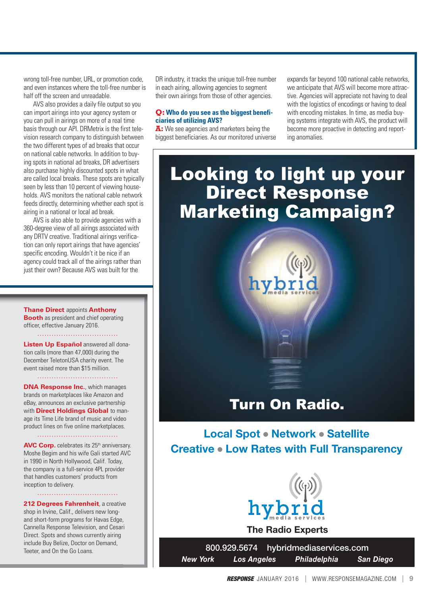wrong toll-free number, URL, or promotion code, and even instances where the toll-free number is half off the screen and unreadable.

AVS also provides a daily file output so you can import airings into your agency system or you can pull in airings on more of a real time basis through our API. DRMetrix is the first television research company to distinguish between the two different types of ad breaks that occur on national cable networks. In addition to buying spots in national ad breaks, DR advertisers also purchase highly discounted spots in what are called local breaks. These spots are typically seen by less than 10 percent of viewing households. AVS monitors the national cable network feeds directly, determining whether each spot is airing in a national or local ad break.

AVS is also able to provide agencies with a 360-degree view of all airings associated with any DRTV creative. Traditional airings verification can only report airings that have agencies' specific encoding. Wouldn't it be nice if an agency could track all of the airings rather than just their own? Because AVS was built for the

**Thane Direct** appoints **Anthony Booth** as president and chief operating officer, effective January 2016.

**Listen Up Español** answered all donation calls (more than 47,000) during the December TeletonUSA charity event. The event raised more than \$15 million.

**DNA Response Inc., which manages** brands on marketplaces like Amazon and eBay, announces an exclusive partnership with **Direct Holdings Global** to manage its Time Life brand of music and video product lines on five online marketplaces.

**AVC Corp.** celebrates its 25<sup>th</sup> anniversary. Moshe Begim and his wife Gali started AVC in 1990 in North Hollywood, Calif. Today, the company is a full-service 4PL provider that handles customers' products from inception to delivery.

**212 Degrees Fahrenheit**, a creative shop in Irvine, Calif., delivers new longand short-form programs for Havas Edge, Cannella Response Television, and Cesari Direct. Spots and shows currently airing include Buy Belize, Doctor on Demand, Teeter, and On the Go Loans.

DR industry, it tracks the unique toll-free number in each airing, allowing agencies to segment their own airings from those of other agencies.

#### **Q: Who do you see as the biggest beneficiaries of utilizing AVS?**

**A:** We see agencies and marketers being the biggest beneficiaries. As our monitored universe

expands far beyond 100 national cable networks, we anticipate that AVS will become more attractive. Agencies will appreciate not having to deal with the logistics of encodings or having to deal with encoding mistakes. In time, as media buying systems integrate with AVS, the product will become more proactive in detecting and reporting anomalies.

# Looking to light up your Direct Response Marketing Campaign?

hybri

# Turn On Radio.

**Local Spot • Network • Satellite Creative • Low Rates with Full Transparency** 



**The Radio Experts**

800.929.5674 hybridmediaservices.com *New York Los Angeles Philadelphia San Diego*